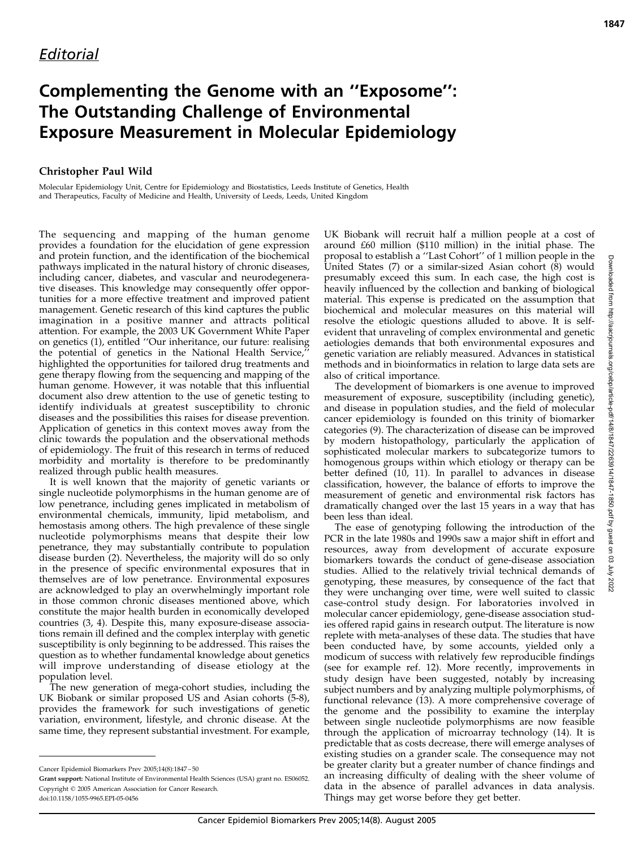## Complementing the Genome with an ''Exposome'': The Outstanding Challenge of Environmental Exposure Measurement in Molecular Epidemiology

## Christopher Paul Wild

Molecular Epidemiology Unit, Centre for Epidemiology and Biostatistics, Leeds Institute of Genetics, Health and Therapeutics, Faculty of Medicine and Health, University of Leeds, Leeds, United Kingdom

The sequencing and mapping of the human genome provides a foundation for the elucidation of gene expression and protein function, and the identification of the biochemical pathways implicated in the natural history of chronic diseases, including cancer, diabetes, and vascular and neurodegenerative diseases. This knowledge may consequently offer opportunities for a more effective treatment and improved patient management. Genetic research of this kind captures the public imagination in a positive manner and attracts political attention. For example, the 2003 UK Government White Paper on genetics (1), entitled ''Our inheritance, our future: realising the potential of genetics in the National Health Service,'' highlighted the opportunities for tailored drug treatments and gene therapy flowing from the sequencing and mapping of the human genome. However, it was notable that this influential document also drew attention to the use of genetic testing to identify individuals at greatest susceptibility to chronic diseases and the possibilities this raises for disease prevention. Application of genetics in this context moves away from the clinic towards the population and the observational methods of epidemiology. The fruit of this research in terms of reduced morbidity and mortality is therefore to be predominantly realized through public health measures.

It is well known that the majority of genetic variants or single nucleotide polymorphisms in the human genome are of low penetrance, including genes implicated in metabolism of environmental chemicals, immunity, lipid metabolism, and hemostasis among others. The high prevalence of these single nucleotide polymorphisms means that despite their low penetrance, they may substantially contribute to population disease burden (2). Nevertheless, the majority will do so only in the presence of specific environmental exposures that in themselves are of low penetrance. Environmental exposures are acknowledged to play an overwhelmingly important role in those common chronic diseases mentioned above, which constitute the major health burden in economically developed countries (3, 4). Despite this, many exposure-disease associations remain ill defined and the complex interplay with genetic susceptibility is only beginning to be addressed. This raises the question as to whether fundamental knowledge about genetics will improve understanding of disease etiology at the population level.

The new generation of mega-cohort studies, including the UK Biobank or similar proposed US and Asian cohorts (5-8), provides the framework for such investigations of genetic variation, environment, lifestyle, and chronic disease. At the same time, they represent substantial investment. For example,

UK Biobank will recruit half a million people at a cost of around £60 million (\$110 million) in the initial phase. The proposal to establish a ''Last Cohort'' of 1 million people in the United States (7) or a similar-sized Asian cohort (8) would presumably exceed this sum. In each case, the high cost is heavily influenced by the collection and banking of biological material. This expense is predicated on the assumption that biochemical and molecular measures on this material will resolve the etiologic questions alluded to above. It is selfevident that unraveling of complex environmental and genetic aetiologies demands that both environmental exposures and genetic variation are reliably measured. Advances in statistical methods and in bioinformatics in relation to large data sets are also of critical importance.

The development of biomarkers is one avenue to improved measurement of exposure, susceptibility (including genetic), and disease in population studies, and the field of molecular cancer epidemiology is founded on this trinity of biomarker categories (9). The characterization of disease can be improved by modern histopathology, particularly the application of sophisticated molecular markers to subcategorize tumors to homogenous groups within which etiology or therapy can be better defined (10, 11). In parallel to advances in disease classification, however, the balance of efforts to improve the measurement of genetic and environmental risk factors has dramatically changed over the last 15 years in a way that has been less than ideal.

The ease of genotyping following the introduction of the PCR in the late 1980s and 1990s saw a major shift in effort and resources, away from development of accurate exposure biomarkers towards the conduct of gene-disease association studies. Allied to the relatively trivial technical demands of genotyping, these measures, by consequence of the fact that they were unchanging over time, were well suited to classic case-control study design. For laboratories involved in molecular cancer epidemiology, gene-disease association studies offered rapid gains in research output. The literature is now replete with meta-analyses of these data. The studies that have been conducted have, by some accounts, yielded only a modicum of success with relatively few reproducible findings (see for example ref. 12). More recently, improvements in study design have been suggested, notably by increasing subject numbers and by analyzing multiple polymorphisms, of functional relevance (13). A more comprehensive coverage of the genome and the possibility to examine the interplay between single nucleotide polymorphisms are now feasible through the application of microarray technology (14). It is predictable that as costs decrease, there will emerge analyses of existing studies on a grander scale. The consequence may not be greater clarity but a greater number of chance findings and an increasing difficulty of dealing with the sheer volume of data in the absence of parallel advances in data analysis. Things may get worse before they get better.

Cancer Epidemiol Biomarkers Prev 2005;14(8):1847 – 50

Grant support: National Institute of Environmental Health Sciences (USA) grant no. ES06052. Copyright © 2005 American Association for Cancer Research. doi:10.1158/1055-9965.EPI-05-0456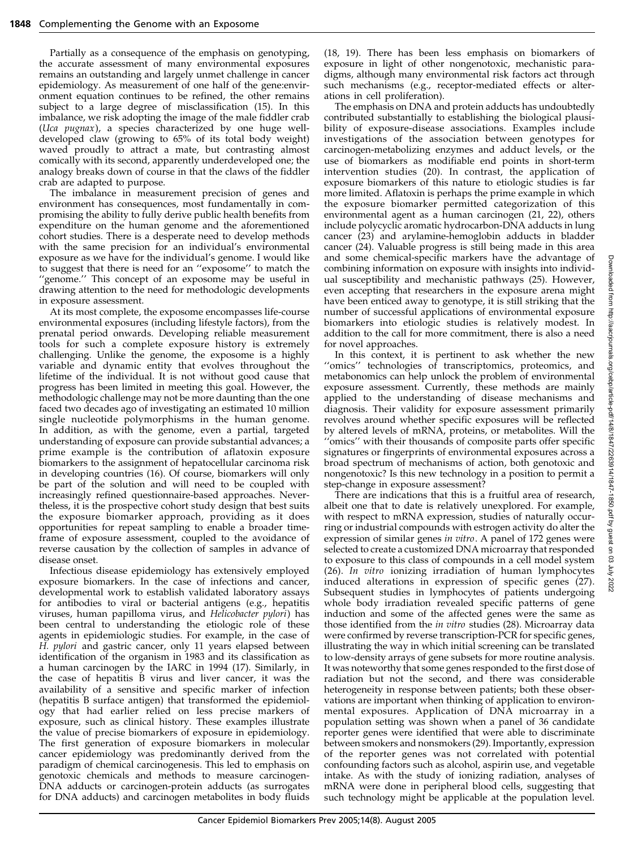Partially as a consequence of the emphasis on genotyping, the accurate assessment of many environmental exposures remains an outstanding and largely unmet challenge in cancer epidemiology. As measurement of one half of the gene:environment equation continues to be refined, the other remains subject to a large degree of misclassification (15). In this imbalance, we risk adopting the image of the male fiddler crab (Uca pugnax), a species characterized by one huge welldeveloped claw (growing to 65% of its total body weight) waved proudly to attract a mate, but contrasting almost comically with its second, apparently underdeveloped one; the analogy breaks down of course in that the claws of the fiddler crab are adapted to purpose.

The imbalance in measurement precision of genes and environment has consequences, most fundamentally in compromising the ability to fully derive public health benefits from expenditure on the human genome and the aforementioned cohort studies. There is a desperate need to develop methods with the same precision for an individual's environmental exposure as we have for the individual's genome. I would like to suggest that there is need for an ''exposome'' to match the ''genome.'' This concept of an exposome may be useful in drawing attention to the need for methodologic developments in exposure assessment.

At its most complete, the exposome encompasses life-course environmental exposures (including lifestyle factors), from the prenatal period onwards. Developing reliable measurement tools for such a complete exposure history is extremely challenging. Unlike the genome, the exposome is a highly variable and dynamic entity that evolves throughout the lifetime of the individual. It is not without good cause that progress has been limited in meeting this goal. However, the methodologic challenge may not be more daunting than the one faced two decades ago of investigating an estimated 10 million single nucleotide polymorphisms in the human genome. In addition, as with the genome, even a partial, targeted understanding of exposure can provide substantial advances; a prime example is the contribution of aflatoxin exposure biomarkers to the assignment of hepatocellular carcinoma risk in developing countries (16). Of course, biomarkers will only be part of the solution and will need to be coupled with increasingly refined questionnaire-based approaches. Nevertheless, it is the prospective cohort study design that best suits the exposure biomarker approach, providing as it does opportunities for repeat sampling to enable a broader timeframe of exposure assessment, coupled to the avoidance of reverse causation by the collection of samples in advance of disease onset.

Infectious disease epidemiology has extensively employed exposure biomarkers. In the case of infections and cancer, developmental work to establish validated laboratory assays for antibodies to viral or bacterial antigens (e.g., hepatitis viruses, human papilloma virus, and Helicobacter pylori) has been central to understanding the etiologic role of these agents in epidemiologic studies. For example, in the case of H. pylori and gastric cancer, only 11 years elapsed between identification of the organism in 1983 and its classification as a human carcinogen by the IARC in 1994 (17). Similarly, in the case of hepatitis B virus and liver cancer, it was the availability of a sensitive and specific marker of infection (hepatitis B surface antigen) that transformed the epidemiology that had earlier relied on less precise markers of exposure, such as clinical history. These examples illustrate the value of precise biomarkers of exposure in epidemiology. The first generation of exposure biomarkers in molecular cancer epidemiology was predominantly derived from the paradigm of chemical carcinogenesis. This led to emphasis on genotoxic chemicals and methods to measure carcinogen-DNA adducts or carcinogen-protein adducts (as surrogates for DNA adducts) and carcinogen metabolites in body fluids

(18, 19). There has been less emphasis on biomarkers of exposure in light of other nongenotoxic, mechanistic paradigms, although many environmental risk factors act through such mechanisms (e.g., receptor-mediated effects or alterations in cell proliferation).

The emphasis on DNA and protein adducts has undoubtedly contributed substantially to establishing the biological plausibility of exposure-disease associations. Examples include investigations of the association between genotypes for carcinogen-metabolizing enzymes and adduct levels, or the use of biomarkers as modifiable end points in short-term intervention studies (20). In contrast, the application of exposure biomarkers of this nature to etiologic studies is far more limited. Aflatoxin is perhaps the prime example in which the exposure biomarker permitted categorization of this environmental agent as a human carcinogen (21, 22), others include polycyclic aromatic hydrocarbon-DNA adducts in lung cancer (23) and arylamine-hemoglobin adducts in bladder cancer (24). Valuable progress is still being made in this area and some chemical-specific markers have the advantage of combining information on exposure with insights into individual susceptibility and mechanistic pathways (25). However, even accepting that researchers in the exposure arena might have been enticed away to genotype, it is still striking that the number of successful applications of environmental exposure biomarkers into etiologic studies is relatively modest. In addition to the call for more commitment, there is also a need for novel approaches.

In this context, it is pertinent to ask whether the new "omics" technologies of transcriptomics, proteomics, and metabonomics can help unlock the problem of environmental exposure assessment. Currently, these methods are mainly applied to the understanding of disease mechanisms and diagnosis. Their validity for exposure assessment primarily revolves around whether specific exposures will be reflected by altered levels of mRNA, proteins, or metabolites. Will the ''omics'' with their thousands of composite parts offer specific signatures or fingerprints of environmental exposures across a broad spectrum of mechanisms of action, both genotoxic and nongenotoxic? Is this new technology in a position to permit a step-change in exposure assessment?

There are indications that this is a fruitful area of research, albeit one that to date is relatively unexplored. For example, with respect to mRNA expression, studies of naturally occurring or industrial compounds with estrogen activity do alter the expression of similar genes in vitro. A panel of 172 genes were selected to create a customized DNA microarray that responded to exposure to this class of compounds in a cell model system (26). In vitro ionizing irradiation of human lymphocytes induced alterations in expression of specific genes (27). Subsequent studies in lymphocytes of patients undergoing whole body irradiation revealed specific patterns of gene induction and some of the affected genes were the same as those identified from the in vitro studies (28). Microarray data were confirmed by reverse transcription-PCR for specific genes, illustrating the way in which initial screening can be translated to low-density arrays of gene subsets for more routine analysis. It was noteworthy that some genes responded to the first dose of radiation but not the second, and there was considerable heterogeneity in response between patients; both these observations are important when thinking of application to environmental exposures. Application of DNA microarray in a population setting was shown when a panel of 36 candidate reporter genes were identified that were able to discriminate between smokers and nonsmokers (29). Importantly, expression of the reporter genes was not correlated with potential confounding factors such as alcohol, aspirin use, and vegetable intake. As with the study of ionizing radiation, analyses of mRNA were done in peripheral blood cells, suggesting that such technology might be applicable at the population level.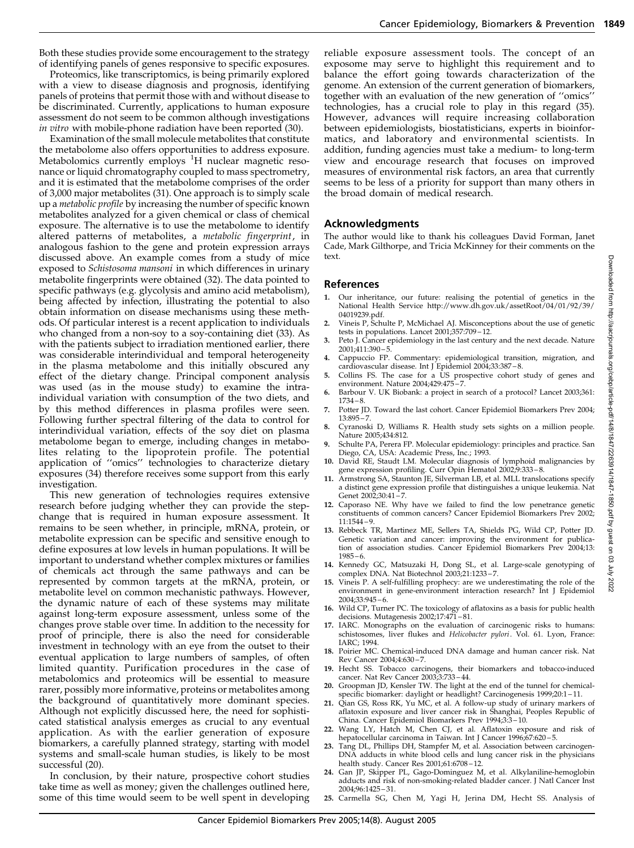Both these studies provide some encouragement to the strategy of identifying panels of genes responsive to specific exposures.

Proteomics, like transcriptomics, is being primarily explored with a view to disease diagnosis and prognosis, identifying panels of proteins that permit those with and without disease to be discriminated. Currently, applications to human exposure assessment do not seem to be common although investigations in vitro with mobile-phone radiation have been reported (30).

Examination of the small molecule metabolites that constitute the metabolome also offers opportunities to address exposure. Metabolomics currently employs <sup>1</sup>H nuclear magnetic resonance or liquid chromatography coupled to mass spectrometry, and it is estimated that the metabolome comprises of the order of 3,000 major metabolites (31). One approach is to simply scale up a metabolic profile by increasing the number of specific known metabolites analyzed for a given chemical or class of chemical exposure. The alternative is to use the metabolome to identify altered patterns of metabolites, a metabolic fingerprint, in analogous fashion to the gene and protein expression arrays discussed above. An example comes from a study of mice exposed to *Schistosoma mansoni* in which differences in urinary metabolite fingerprints were obtained (32). The data pointed to specific pathways (e.g. glycolysis and amino acid metabolism), being affected by infection, illustrating the potential to also obtain information on disease mechanisms using these methods. Of particular interest is a recent application to individuals who changed from a non-soy to a soy-containing diet (33). As with the patients subject to irradiation mentioned earlier, there was considerable interindividual and temporal heterogeneity in the plasma metabolome and this initially obscured any effect of the dietary change. Principal component analysis was used (as in the mouse study) to examine the intraindividual variation with consumption of the two diets, and by this method differences in plasma profiles were seen. Following further spectral filtering of the data to control for interindividual variation, effects of the soy diet on plasma metabolome began to emerge, including changes in metabolites relating to the lipoprotein profile. The potential application of ''omics'' technologies to characterize dietary exposures (34) therefore receives some support from this early investigation.

This new generation of technologies requires extensive research before judging whether they can provide the stepchange that is required in human exposure assessment. It remains to be seen whether, in principle, mRNA, protein, or metabolite expression can be specific and sensitive enough to define exposures at low levels in human populations. It will be important to understand whether complex mixtures or families of chemicals act through the same pathways and can be represented by common targets at the mRNA, protein, or metabolite level on common mechanistic pathways. However, the dynamic nature of each of these systems may militate against long-term exposure assessment, unless some of the changes prove stable over time. In addition to the necessity for proof of principle, there is also the need for considerable investment in technology with an eye from the outset to their eventual application to large numbers of samples, of often limited quantity. Purification procedures in the case of metabolomics and proteomics will be essential to measure rarer, possibly more informative, proteins or metabolites among the background of quantitatively more dominant species. Although not explicitly discussed here, the need for sophisticated statistical analysis emerges as crucial to any eventual application. As with the earlier generation of exposure biomarkers, a carefully planned strategy, starting with model systems and small-scale human studies, is likely to be most successful (20).

In conclusion, by their nature, prospective cohort studies take time as well as money; given the challenges outlined here, some of this time would seem to be well spent in developing reliable exposure assessment tools. The concept of an exposome may serve to highlight this requirement and to balance the effort going towards characterization of the genome. An extension of the current generation of biomarkers, together with an evaluation of the new generation of ''omics'' technologies, has a crucial role to play in this regard (35). However, advances will require increasing collaboration between epidemiologists, biostatisticians, experts in bioinformatics, and laboratory and environmental scientists. In addition, funding agencies must take a medium- to long-term view and encourage research that focuses on improved measures of environmental risk factors, an area that currently seems to be less of a priority for support than many others in the broad domain of medical research.

## Acknowledgments

The author would like to thank his colleagues David Forman, Janet Cade, Mark Gilthorpe, and Tricia McKinney for their comments on the text.

## References

- 1. Our inheritance, our future: realising the potential of genetics in the National Health Service http://www.dh.gov.uk/assetRoot/04/01/92/39/ 04019239.pdf.
- 2. Vineis P, Schulte P, McMichael AJ. Misconceptions about the use of genetic tests in populations. Lancet 2001;357:709 – 12.
- 3. Peto J. Cancer epidemiology in the last century and the next decade. Nature 2001;411:390 – 5.
- 4. Cappuccio FP. Commentary: epidemiological transition, migration, and cardiovascular disease. Int J Epidemiol 2004;33:387 – 8.
- 5. Collins FS. The case for a US prospective cohort study of genes and environment. Nature 2004;429:475 – 7.
- Barbour V. UK Biobank: a project in search of a protocol? Lancet 2003;361:  $1734 - 8$
- 7. Potter JD. Toward the last cohort. Cancer Epidemiol Biomarkers Prev 2004;  $13:895 - 7.$
- 8. Cyranoski D, Williams R. Health study sets sights on a million people. Nature 2005;434:812.
- 9. Schulte PA, Perera FP. Molecular epidemiology: principles and practice. San
- Diego, CA, USA: Academic Press, Inc.; 1993. 10. David RE, Staudt LM. Molecular diagnosis of lymphoid malignancies by
- gene expression profiling. Curr Opin Hematol 2002;9:333 8. 11. Armstrong SA, Staunton JE, Silverman LB, et al. MLL translocations specify a distinct gene expression profile that distinguishes a unique leukemia. Nat Genet 2002;30:41 – 7.
- 12. Caporaso NE. Why have we failed to find the low penetrance genetic constituents of common cancers? Cancer Epidemiol Biomarkers Prev 2002; 11:1544 – 9.
- 13. Rebbeck TR, Martinez ME, Sellers TA, Shields PG, Wild CP, Potter JD. Genetic variation and cancer: improving the environment for publication of association studies. Cancer Epidemiol Biomarkers Prev 2004;13:  $1985 - 6.$
- 14. Kennedy GC, Matsuzaki H, Dong SL, et al. Large-scale genotyping of complex DNA. Nat Biotechnol 2003;21:1233 – 7.
- 15. Vineis P. A self-fulfilling prophecy: are we underestimating the role of the environment in gene-environment interaction research? Int J Epidemiol 2004;33:945 – 6.
- 16. Wild CP, Turner PC. The toxicology of aflatoxins as a basis for public health decisions. Mutagenesis 2002;17:471-81.
- 17. IARC. Monographs on the evaluation of carcinogenic risks to humans: schistosomes, liver flukes and Helicobacter pylori. Vol. 61. Lyon, France: IARC; 1994.
- 18. Poirier MC. Chemical-induced DNA damage and human cancer risk. Nat Rev Cancer 2004;4:630 – 7.
- 19. Hecht SS. Tobacco carcinogens, their biomarkers and tobacco-induced cancer. Nat Rev Cancer 2003;3:733 – 44.
- 20. Groopman JD, Kensler TW. The light at the end of the tunnel for chemicalspecific biomarker: daylight or headlight? Carcinogenesis 1999;20:1 – 11.
- 21. Qian GS, Ross RK, Yu MC, et al. A follow-up study of urinary markers of aflatoxin exposure and liver cancer risk in Shanghai, Peoples Republic of China. Cancer Epidemiol Biomarkers Prev 1994;3:3 – 10.
- 22. Wang LY, Hatch M, Chen CJ, et al. Aflatoxin exposure and risk of hepatocellular carcinoma in Taiwan. Int J Cancer 1996;67:620 – 5.
- 23. Tang DL, Phillips DH, Stampfer M, et al. Association between carcinogen-DNA adducts in white blood cells and lung cancer risk in the physicians health study. Cancer Res 2001;61:6708 – 12.
- 24. Gan JP, Skipper PL, Gago-Dominguez M, et al. Alkylaniline-hemoglobin adducts and risk of non-smoking-related bladder cancer. J Natl Cancer Inst 2004;96:1425 – 31.
- 25. Carmella SG, Chen M, Yagi H, Jerina DM, Hecht SS. Analysis of